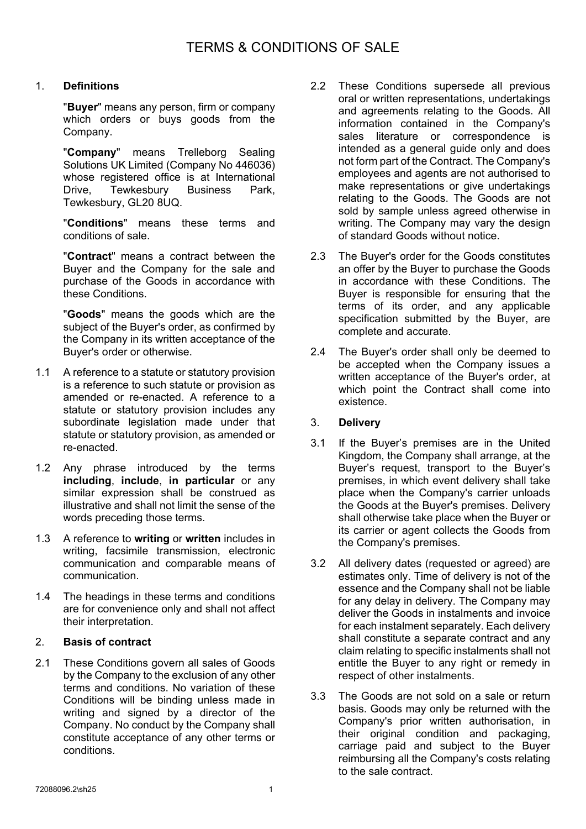## 1. **Definitions**

"**Buyer**" means any person, firm or company which orders or buys goods from the Company.

"**Company**" means Trelleborg Sealing Solutions UK Limited (Company No 446036) whose registered office is at International<br>Drive. Tewkesbury Business Park. Tewkesbury Business Park, Tewkesbury, GL20 8UQ.

"**Conditions**" means these terms and conditions of sale.

"**Contract**" means a contract between the Buyer and the Company for the sale and purchase of the Goods in accordance with these Conditions.

"**Goods**" means the goods which are the subject of the Buyer's order, as confirmed by the Company in its written acceptance of the Buyer's order or otherwise.

- 1.1 A reference to a statute or statutory provision is a reference to such statute or provision as amended or re-enacted. A reference to a statute or statutory provision includes any subordinate legislation made under that statute or statutory provision, as amended or re-enacted.
- 1.2 Any phrase introduced by the terms **including**, **include**, **in particular** or any similar expression shall be construed as illustrative and shall not limit the sense of the words preceding those terms.
- 1.3 A reference to **writing** or **written** includes in writing, facsimile transmission, electronic communication and comparable means of communication.
- 1.4 The headings in these terms and conditions are for convenience only and shall not affect their interpretation.

## 2. **Basis of contract**

2.1 These Conditions govern all sales of Goods by the Company to the exclusion of any other terms and conditions. No variation of these Conditions will be binding unless made in writing and signed by a director of the Company. No conduct by the Company shall constitute acceptance of any other terms or conditions.

- 2.2 These Conditions supersede all previous oral or written representations, undertakings and agreements relating to the Goods. All information contained in the Company's sales literature or correspondence is intended as a general guide only and does not form part of the Contract. The Company's employees and agents are not authorised to make representations or give undertakings relating to the Goods. The Goods are not sold by sample unless agreed otherwise in writing. The Company may vary the design of standard Goods without notice.
- 2.3 The Buyer's order for the Goods constitutes an offer by the Buyer to purchase the Goods in accordance with these Conditions. The Buyer is responsible for ensuring that the terms of its order, and any applicable specification submitted by the Buyer, are complete and accurate.
- 2.4 The Buyer's order shall only be deemed to be accepted when the Company issues a written acceptance of the Buyer's order, at which point the Contract shall come into existence.

## 3. **Delivery**

- 3.1 If the Buyer's premises are in the United Kingdom, the Company shall arrange, at the Buyer's request, transport to the Buyer's premises, in which event delivery shall take place when the Company's carrier unloads the Goods at the Buyer's premises. Delivery shall otherwise take place when the Buyer or its carrier or agent collects the Goods from the Company's premises.
- 3.2 All delivery dates (requested or agreed) are estimates only. Time of delivery is not of the essence and the Company shall not be liable for any delay in delivery. The Company may deliver the Goods in instalments and invoice for each instalment separately. Each delivery shall constitute a separate contract and any claim relating to specific instalments shall not entitle the Buyer to any right or remedy in respect of other instalments.
- 3.3 The Goods are not sold on a sale or return basis. Goods may only be returned with the Company's prior written authorisation, in their original condition and packaging, carriage paid and subject to the Buyer reimbursing all the Company's costs relating to the sale contract.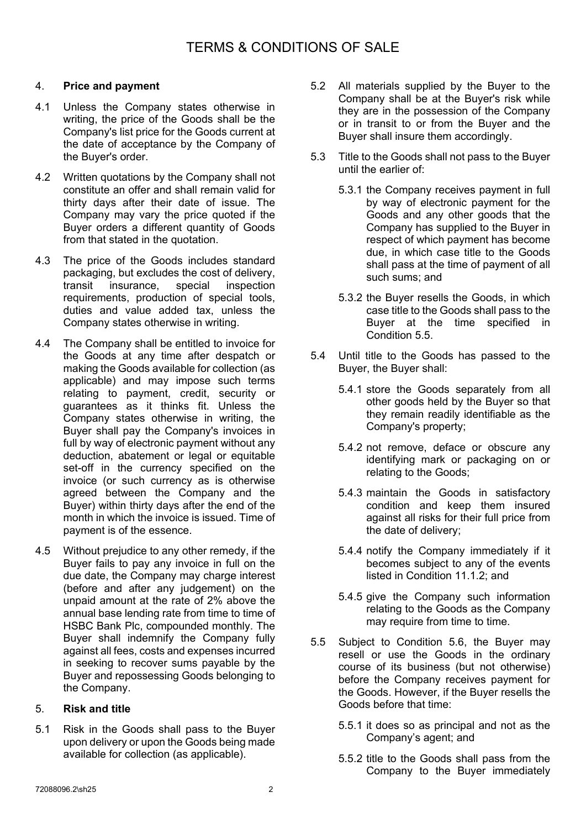## 4. **Price and payment**

- 4.1 Unless the Company states otherwise in writing, the price of the Goods shall be the Company's list price for the Goods current at the date of acceptance by the Company of the Buyer's order.
- 4.2 Written quotations by the Company shall not constitute an offer and shall remain valid for thirty days after their date of issue. The Company may vary the price quoted if the Buyer orders a different quantity of Goods from that stated in the quotation.
- 4.3 The price of the Goods includes standard packaging, but excludes the cost of delivery, transit insurance, special inspection requirements, production of special tools, duties and value added tax, unless the Company states otherwise in writing.
- 4.4 The Company shall be entitled to invoice for the Goods at any time after despatch or making the Goods available for collection (as applicable) and may impose such terms relating to payment, credit, security or guarantees as it thinks fit. Unless the Company states otherwise in writing, the Buyer shall pay the Company's invoices in full by way of electronic payment without any deduction, abatement or legal or equitable set-off in the currency specified on the invoice (or such currency as is otherwise agreed between the Company and the Buyer) within thirty days after the end of the month in which the invoice is issued. Time of payment is of the essence.
- 4.5 Without prejudice to any other remedy, if the Buyer fails to pay any invoice in full on the due date, the Company may charge interest (before and after any judgement) on the unpaid amount at the rate of 2% above the annual base lending rate from time to time of HSBC Bank Plc, compounded monthly. The Buyer shall indemnify the Company fully against all fees, costs and expenses incurred in seeking to recover sums payable by the Buyer and repossessing Goods belonging to the Company.

## 5. **Risk and title**

5.1 Risk in the Goods shall pass to the Buyer upon delivery or upon the Goods being made available for collection (as applicable).

- 5.2 All materials supplied by the Buyer to the Company shall be at the Buyer's risk while they are in the possession of the Company or in transit to or from the Buyer and the Buyer shall insure them accordingly.
- 5.3 Title to the Goods shall not pass to the Buyer until the earlier of:
	- 5.3.1 the Company receives payment in full by way of electronic payment for the Goods and any other goods that the Company has supplied to the Buyer in respect of which payment has become due, in which case title to the Goods shall pass at the time of payment of all such sums; and
	- 5.3.2 the Buyer resells the Goods, in which case title to the Goods shall pass to the Buyer at the time specified in Condition [5.5.](#page-1-0)
- 5.4 Until title to the Goods has passed to the Buyer, the Buyer shall:
	- 5.4.1 store the Goods separately from all other goods held by the Buyer so that they remain readily identifiable as the Company's property;
	- 5.4.2 not remove, deface or obscure any identifying mark or packaging on or relating to the Goods;
	- 5.4.3 maintain the Goods in satisfactory condition and keep them insured against all risks for their full price from the date of delivery;
	- 5.4.4 notify the Company immediately if it becomes subject to any of the events listed in Condition [11.1.2;](#page-3-0) and
	- 5.4.5 give the Company such information relating to the Goods as the Company may require from time to time.
- <span id="page-1-0"></span>5.5 Subject to Condition [5.6,](#page-2-0) the Buyer may resell or use the Goods in the ordinary course of its business (but not otherwise) before the Company receives payment for the Goods. However, if the Buyer resells the Goods before that time:
	- 5.5.1 it does so as principal and not as the Company's agent; and
	- 5.5.2 title to the Goods shall pass from the Company to the Buyer immediately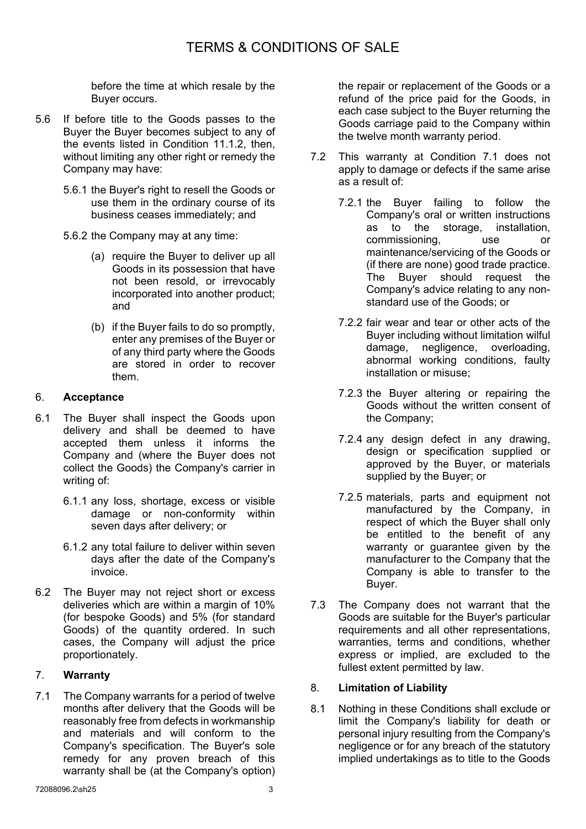before the time at which resale by the Buyer occurs.

- <span id="page-2-0"></span>5.6 If before title to the Goods passes to the Buyer the Buyer becomes subject to any of the events listed in Condition [11.1.2,](#page-3-0) then, without limiting any other right or remedy the Company may have:
	- 5.6.1 the Buyer's right to resell the Goods or use them in the ordinary course of its business ceases immediately; and
	- 5.6.2 the Company may at any time:
		- (a) require the Buyer to deliver up all Goods in its possession that have not been resold, or irrevocably incorporated into another product; and
		- (b) if the Buyer fails to do so promptly, enter any premises of the Buyer or of any third party where the Goods are stored in order to recover them.

#### 6. **Acceptance**

- 6.1 The Buyer shall inspect the Goods upon delivery and shall be deemed to have accepted them unless it informs the Company and (where the Buyer does not collect the Goods) the Company's carrier in writing of:
	- 6.1.1 any loss, shortage, excess or visible damage or non-conformity within seven days after delivery; or
	- 6.1.2 any total failure to deliver within seven days after the date of the Company's invoice.
- 6.2 The Buyer may not reject short or excess deliveries which are within a margin of 10% (for bespoke Goods) and 5% (for standard Goods) of the quantity ordered. In such cases, the Company will adjust the price proportionately.

## 7. **Warranty**

<span id="page-2-1"></span>7.1 The Company warrants for a period of twelve months after delivery that the Goods will be reasonably free from defects in workmanship and materials and will conform to the Company's specification. The Buyer's sole remedy for any proven breach of this warranty shall be (at the Company's option) the repair or replacement of the Goods or a refund of the price paid for the Goods, in each case subject to the Buyer returning the Goods carriage paid to the Company within the twelve month warranty period.

- 7.2 This warranty at Condition [7.1](#page-2-1) does not apply to damage or defects if the same arise as a result of:
	- 7.2.1 the Buyer failing to follow the Company's oral or written instructions as to the storage, installation, commissioning, use or maintenance/servicing of the Goods or (if there are none) good trade practice. The Buyer should request the Company's advice relating to any nonstandard use of the Goods; or
	- 7.2.2 fair wear and tear or other acts of the Buyer including without limitation wilful damage, negligence, overloading, abnormal working conditions, faulty installation or misuse;
	- 7.2.3 the Buyer altering or repairing the Goods without the written consent of the Company;
	- 7.2.4 any design defect in any drawing, design or specification supplied or approved by the Buyer, or materials supplied by the Buyer; or
	- 7.2.5 materials, parts and equipment not manufactured by the Company, in respect of which the Buyer shall only be entitled to the benefit of any warranty or guarantee given by the manufacturer to the Company that the Company is able to transfer to the Buyer.
- 7.3 The Company does not warrant that the Goods are suitable for the Buyer's particular requirements and all other representations, warranties, terms and conditions, whether express or implied, are excluded to the fullest extent permitted by law.

## 8. **Limitation of Liability**

8.1 Nothing in these Conditions shall exclude or limit the Company's liability for death or personal injury resulting from the Company's negligence or for any breach of the statutory implied undertakings as to title to the Goods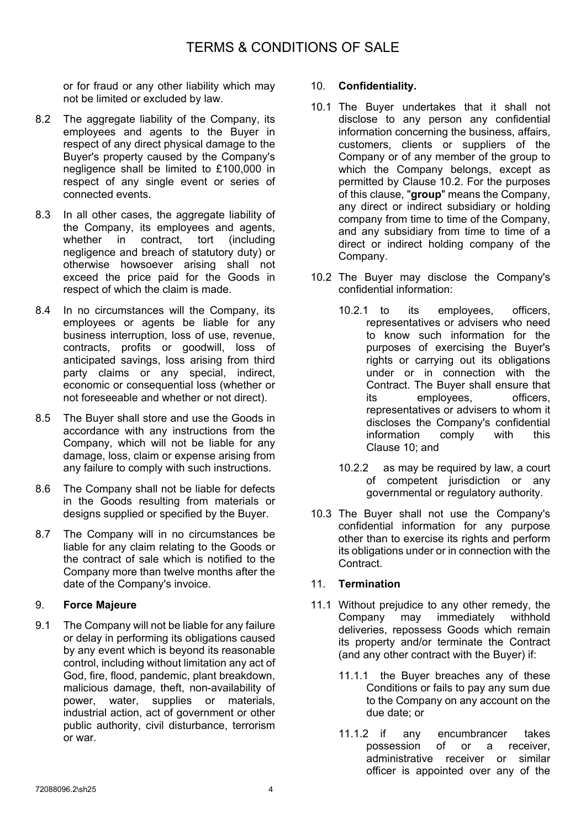or for fraud or any other liability which may not be limited or excluded by law.

- 8.2 The aggregate liability of the Company, its employees and agents to the Buyer in respect of any direct physical damage to the Buyer's property caused by the Company's negligence shall be limited to £100,000 in respect of any single event or series of connected events.
- 8.3 In all other cases, the aggregate liability of the Company, its employees and agents, whether in contract, tort (including negligence and breach of statutory duty) or otherwise howsoever arising shall not exceed the price paid for the Goods in respect of which the claim is made.
- 8.4 In no circumstances will the Company, its employees or agents be liable for any business interruption, loss of use, revenue, contracts, profits or goodwill, loss of anticipated savings, loss arising from third party claims or any special, indirect, economic or consequential loss (whether or not foreseeable and whether or not direct).
- 8.5 The Buyer shall store and use the Goods in accordance with any instructions from the Company, which will not be liable for any damage, loss, claim or expense arising from any failure to comply with such instructions.
- 8.6 The Company shall not be liable for defects in the Goods resulting from materials or designs supplied or specified by the Buyer.
- 8.7 The Company will in no circumstances be liable for any claim relating to the Goods or the contract of sale which is notified to the Company more than twelve months after the date of the Company's invoice.

## 9. **Force Majeure**

9.1 The Company will not be liable for any failure or delay in performing its obligations caused by any event which is beyond its reasonable control, including without limitation any act of God, fire, flood, pandemic, plant breakdown, malicious damage, theft, non-availability of power, water, supplies or materials, industrial action, act of government or other public authority, civil disturbance, terrorism or war.

#### <span id="page-3-2"></span>10. **Confidentiality.**

- 10.1 The Buyer undertakes that it shall not disclose to any person any confidential information concerning the business, affairs, customers, clients or suppliers of the Company or of any member of the group to which the Company belongs, except as permitted by Clause [10.2.](#page-3-1) For the purposes of this clause, "**group**" means the Company, any direct or indirect subsidiary or holding company from time to time of the Company, and any subsidiary from time to time of a direct or indirect holding company of the Company.
- <span id="page-3-1"></span>10.2 The Buyer may disclose the Company's confidential information:
	- 10.2.1 to its employees, officers, representatives or advisers who need to know such information for the purposes of exercising the Buyer's rights or carrying out its obligations under or in connection with the Contract. The Buyer shall ensure that its employees, officers, representatives or advisers to whom it discloses the Company's confidential information comply with this Clause [10;](#page-3-2) and
	- 10.2.2 as may be required by law, a court of competent jurisdiction or any governmental or regulatory authority.
- 10.3 The Buyer shall not use the Company's confidential information for any purpose other than to exercise its rights and perform its obligations under or in connection with the Contract.

## 11. **Termination**

- <span id="page-3-0"></span>11.1 Without prejudice to any other remedy, the Company may immediately withhold deliveries, repossess Goods which remain its property and/or terminate the Contract (and any other contract with the Buyer) if:
	- 11.1.1 the Buyer breaches any of these Conditions or fails to pay any sum due to the Company on any account on the due date; or
	- 11.1.2 if any encumbrancer takes possession of or a receiver, administrative receiver or similar officer is appointed over any of the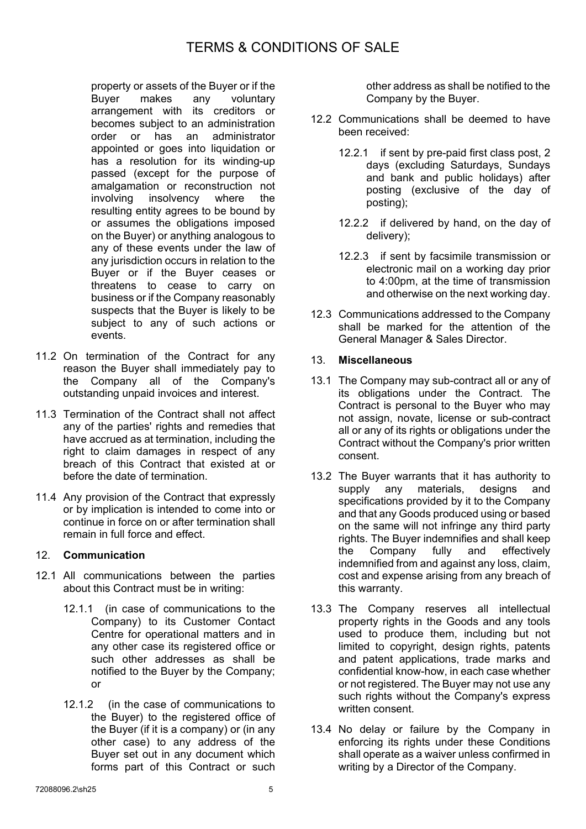property or assets of the Buyer or if the Buyer makes any voluntary arrangement with its creditors or becomes subject to an administration<br>order or has an administrator order or has an appointed or goes into liquidation or has a resolution for its winding-up passed (except for the purpose of amalgamation or reconstruction not involving insolvency where the resulting entity agrees to be bound by or assumes the obligations imposed on the Buyer) or anything analogous to any of these events under the law of any jurisdiction occurs in relation to the Buyer or if the Buyer ceases or threatens to cease to carry on business or if the Company reasonably suspects that the Buyer is likely to be subject to any of such actions or events.

- 11.2 On termination of the Contract for any reason the Buyer shall immediately pay to the Company all of the Company's outstanding unpaid invoices and interest.
- 11.3 Termination of the Contract shall not affect any of the parties' rights and remedies that have accrued as at termination, including the right to claim damages in respect of any breach of this Contract that existed at or before the date of termination.
- 11.4 Any provision of the Contract that expressly or by implication is intended to come into or continue in force on or after termination shall remain in full force and effect.

## 12. **Communication**

- 12.1 All communications between the parties about this Contract must be in writing:
	- 12.1.1 (in case of communications to the Company) to its Customer Contact Centre for operational matters and in any other case its registered office or such other addresses as shall be notified to the Buyer by the Company; or
	- 12.1.2 (in the case of communications to the Buyer) to the registered office of the Buyer (if it is a company) or (in any other case) to any address of the Buyer set out in any document which forms part of this Contract or such

other address as shall be notified to the Company by the Buyer.

- 12.2 Communications shall be deemed to have been received:
	- 12.2.1 if sent by pre-paid first class post, 2 days (excluding Saturdays, Sundays and bank and public holidays) after posting (exclusive of the day of posting);
	- 12.2.2 if delivered by hand, on the day of delivery);
	- 12.2.3 if sent by facsimile transmission or electronic mail on a working day prior to 4:00pm, at the time of transmission and otherwise on the next working day.
- 12.3 Communications addressed to the Company shall be marked for the attention of the General Manager & Sales Director.

#### 13. **Miscellaneous**

- 13.1 The Company may sub-contract all or any of its obligations under the Contract. The Contract is personal to the Buyer who may not assign, novate, license or sub-contract all or any of its rights or obligations under the Contract without the Company's prior written consent.
- 13.2 The Buyer warrants that it has authority to supply any materials, designs and specifications provided by it to the Company and that any Goods produced using or based on the same will not infringe any third party rights. The Buyer indemnifies and shall keep the Company fully and effectively indemnified from and against any loss, claim, cost and expense arising from any breach of this warranty.
- 13.3 The Company reserves all intellectual property rights in the Goods and any tools used to produce them, including but not limited to copyright, design rights, patents and patent applications, trade marks and confidential know-how, in each case whether or not registered. The Buyer may not use any such rights without the Company's express written consent.
- 13.4 No delay or failure by the Company in enforcing its rights under these Conditions shall operate as a waiver unless confirmed in writing by a Director of the Company.